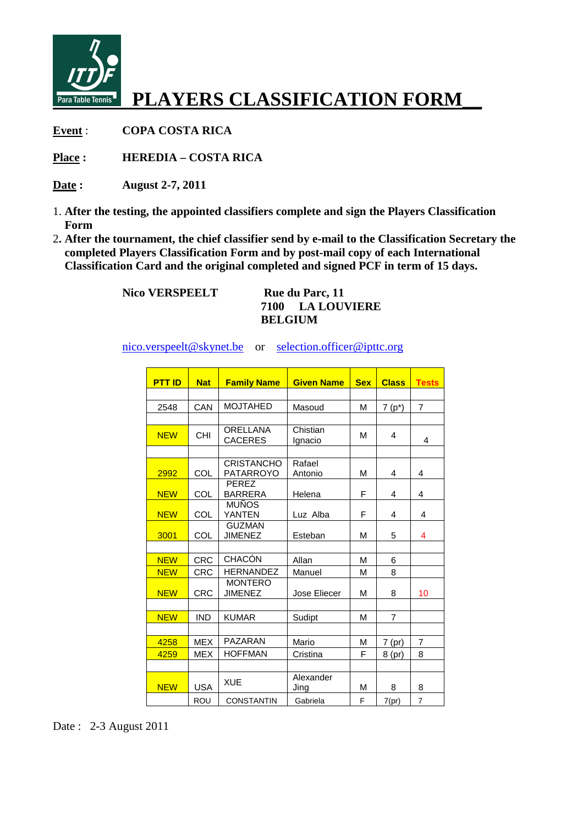

**Event** : **COPA COSTA RICA** 

**Place : HEREDIA – COSTA RICA** 

- **Date : August 2-7, 2011**
- 1. **After the testing, the appointed classifiers complete and sign the Players Classification Form**
- 2**. After the tournament, the chief classifier send by e-mail to the Classification Secretary the completed Players Classification Form and by post-mail copy of each International Classification Card and the original completed and signed PCF in term of 15 days.**

Nico VERSPEELT Rue du Parc, 11

**7100 LA LOUVIERE BELGIUM** 

nico.verspeelt@skynet.be or selection.officer@ipttc.org

| <b>PTT ID</b> | <b>Nat</b> | <b>Family Name</b>                    | <b>Given Name</b>   | <b>Sex</b> | <b>Class</b>   | <b>Tests</b>   |
|---------------|------------|---------------------------------------|---------------------|------------|----------------|----------------|
|               |            |                                       |                     |            |                |                |
| 2548          | CAN        | <b>MOJTAHED</b>                       | Masoud              | М          | $7(p^*)$       | $\overline{7}$ |
|               |            |                                       |                     |            |                |                |
| <b>NEW</b>    | <b>CHI</b> | <b>ORELLANA</b><br><b>CACERES</b>     | Chistian<br>Ignacio | м          | 4              | 4              |
|               |            |                                       |                     |            |                |                |
| 2992          | COL        | <b>CRISTANCHO</b><br><b>PATARROYO</b> | Rafael<br>Antonio   | м          | 4              | 4              |
| <b>NEW</b>    | COL        | <b>PEREZ</b><br><b>BARRERA</b>        | Helena              | F          | 4              | 4              |
| <b>NEW</b>    | COL        | <b>MUÑOS</b><br><b>YANTEN</b>         | Luz Alba            | F          | 4              | 4              |
| 3001          | COL        | <b>GUZMAN</b><br><b>JIMENEZ</b>       | Esteban             | М          | 5              | 4              |
|               |            |                                       |                     |            |                |                |
| <b>NEW</b>    | <b>CRC</b> | <b>CHACÓN</b>                         | Allan               | м          | 6              |                |
| <b>NEW</b>    | <b>CRC</b> | <b>HERNANDEZ</b>                      | Manuel              | М          | 8              |                |
| <b>NEW</b>    | <b>CRC</b> | <b>MONTERO</b><br><b>JIMENEZ</b>      | Jose Eliecer        | М          | 8              | 10             |
| <b>NEW</b>    | <b>IND</b> | <b>KUMAR</b>                          | Sudipt              | М          | $\overline{7}$ |                |
|               |            |                                       |                     |            |                |                |
| 4258          | <b>MEX</b> | PAZARAN                               | Mario               | М          | $7$ (pr)       | 7              |
| 4259          | <b>MEX</b> | <b>HOFFMAN</b>                        | Cristina            | F          | 8 (pr)         | 8              |
|               |            |                                       |                     |            |                |                |
| <b>NEW</b>    | <b>USA</b> | <b>XUE</b>                            | Alexander<br>Jing   | М          | 8              | 8              |
|               | <b>ROU</b> | <b>CONSTANTIN</b>                     | Gabriela            | F          | 7(pr)          | $\overline{7}$ |